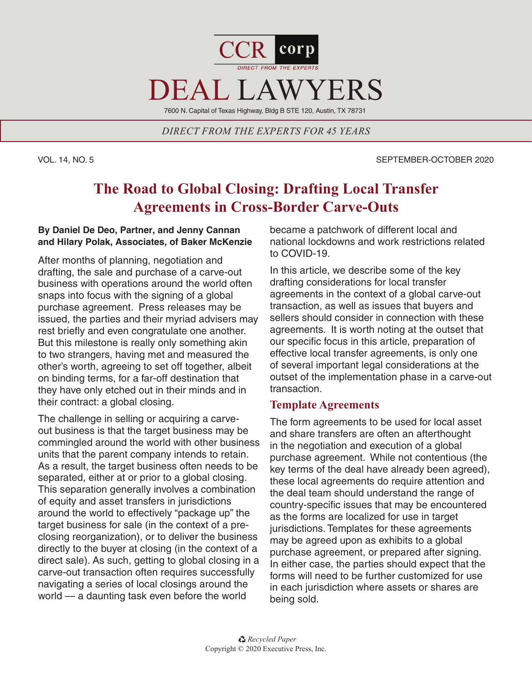

*DIRECT FROM THE EXPERTS FOR 45 YEARS*

### VOL. 14, NO. 5 SEPTEMBER-OCTOBER 2020

# **The Road to Global Closing: Drafting Local Transfer Agreements in Cross-Border Carve-Outs**

## **By Daniel De Deo, Partner, and Jenny Cannan and Hilary Polak, Associates, of Baker McKenzie**

After months of planning, negotiation and drafting, the sale and purchase of a carve-out business with operations around the world often snaps into focus with the signing of a global purchase agreement. Press releases may be issued, the parties and their myriad advisers may rest briefly and even congratulate one another. But this milestone is really only something akin to two strangers, having met and measured the other's worth, agreeing to set off together, albeit on binding terms, for a far-off destination that they have only etched out in their minds and in their contract: a global closing.

The challenge in selling or acquiring a carveout business is that the target business may be commingled around the world with other business units that the parent company intends to retain. As a result, the target business often needs to be separated, either at or prior to a global closing. This separation generally involves a combination of equity and asset transfers in jurisdictions around the world to effectively "package up" the target business for sale (in the context of a preclosing reorganization), or to deliver the business directly to the buyer at closing (in the context of a direct sale). As such, getting to global closing in a carve-out transaction often requires successfully navigating a series of local closings around the world — a daunting task even before the world

became a patchwork of different local and national lockdowns and work restrictions related to COVID-19.

In this article, we describe some of the key drafting considerations for local transfer agreements in the context of a global carve-out transaction, as well as issues that buyers and sellers should consider in connection with these agreements. It is worth noting at the outset that our specific focus in this article, preparation of effective local transfer agreements, is only one of several important legal considerations at the outset of the implementation phase in a carve-out transaction.

# **Template Agreements**

The form agreements to be used for local asset and share transfers are often an afterthought in the negotiation and execution of a global purchase agreement. While not contentious (the key terms of the deal have already been agreed), these local agreements do require attention and the deal team should understand the range of country-specific issues that may be encountered as the forms are localized for use in target jurisdictions. Templates for these agreements may be agreed upon as exhibits to a global purchase agreement, or prepared after signing. In either case, the parties should expect that the forms will need to be further customized for use in each jurisdiction where assets or shares are being sold.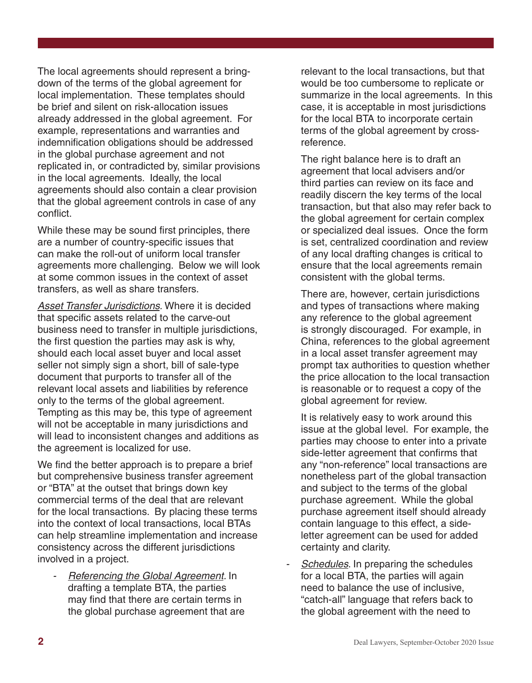The local agreements should represent a bringdown of the terms of the global agreement for local implementation. These templates should be brief and silent on risk-allocation issues already addressed in the global agreement. For example, representations and warranties and indemnification obligations should be addressed in the global purchase agreement and not replicated in, or contradicted by, similar provisions in the local agreements. Ideally, the local agreements should also contain a clear provision that the global agreement controls in case of any conflict.

While these may be sound first principles, there are a number of country-specific issues that can make the roll-out of uniform local transfer agreements more challenging. Below we will look at some common issues in the context of asset transfers, as well as share transfers.

*Asset Transfer Jurisdictions.* Where it is decided that specific assets related to the carve-out business need to transfer in multiple jurisdictions, the first question the parties may ask is why, should each local asset buyer and local asset seller not simply sign a short, bill of sale-type document that purports to transfer all of the relevant local assets and liabilities by reference only to the terms of the global agreement. Tempting as this may be, this type of agreement will not be acceptable in many jurisdictions and will lead to inconsistent changes and additions as the agreement is localized for use.

We find the better approach is to prepare a brief but comprehensive business transfer agreement or "BTA" at the outset that brings down key commercial terms of the deal that are relevant for the local transactions. By placing these terms into the context of local transactions, local BTAs can help streamline implementation and increase consistency across the different jurisdictions involved in a project.

*- Referencing the Global Agreement.* In drafting a template BTA, the parties may find that there are certain terms in the global purchase agreement that are

relevant to the local transactions, but that would be too cumbersome to replicate or summarize in the local agreements. In this case, it is acceptable in most jurisdictions for the local BTA to incorporate certain terms of the global agreement by crossreference.

The right balance here is to draft an agreement that local advisers and/or third parties can review on its face and readily discern the key terms of the local transaction, but that also may refer back to the global agreement for certain complex or specialized deal issues. Once the form is set, centralized coordination and review of any local drafting changes is critical to ensure that the local agreements remain consistent with the global terms.

There are, however, certain jurisdictions and types of transactions where making any reference to the global agreement is strongly discouraged. For example, in China, references to the global agreement in a local asset transfer agreement may prompt tax authorities to question whether the price allocation to the local transaction is reasonable or to request a copy of the global agreement for review.

It is relatively easy to work around this issue at the global level. For example, the parties may choose to enter into a private side-letter agreement that confirms that any "non-reference" local transactions are nonetheless part of the global transaction and subject to the terms of the global purchase agreement. While the global purchase agreement itself should already contain language to this effect, a sideletter agreement can be used for added certainty and clarity.

*- Schedules*. In preparing the schedules for a local BTA, the parties will again need to balance the use of inclusive, "catch-all" language that refers back to the global agreement with the need to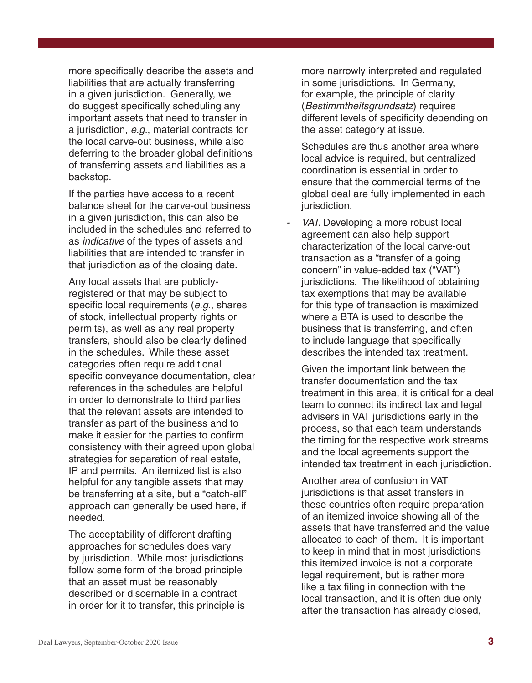more specifically describe the assets and liabilities that are actually transferring in a given jurisdiction. Generally, we do suggest specifically scheduling any important assets that need to transfer in a jurisdiction, *e.g.*, material contracts for the local carve-out business, while also deferring to the broader global definitions of transferring assets and liabilities as a backstop.

If the parties have access to a recent balance sheet for the carve-out business in a given jurisdiction, this can also be included in the schedules and referred to as *indicative* of the types of assets and liabilities that are intended to transfer in that jurisdiction as of the closing date.

Any local assets that are publiclyregistered or that may be subject to specific local requirements (*e.g.*, shares of stock, intellectual property rights or permits), as well as any real property transfers, should also be clearly defined in the schedules. While these asset categories often require additional specific conveyance documentation, clear references in the schedules are helpful in order to demonstrate to third parties that the relevant assets are intended to transfer as part of the business and to make it easier for the parties to confirm consistency with their agreed upon global strategies for separation of real estate, IP and permits. An itemized list is also helpful for any tangible assets that may be transferring at a site, but a "catch-all" approach can generally be used here, if needed.

The acceptability of different drafting approaches for schedules does vary by jurisdiction. While most jurisdictions follow some form of the broad principle that an asset must be reasonably described or discernable in a contract in order for it to transfer, this principle is more narrowly interpreted and regulated in some jurisdictions. In Germany, for example, the principle of clarity (*Bestimmtheitsgrundsatz*) requires different levels of specificity depending on the asset category at issue.

Schedules are thus another area where local advice is required, but centralized coordination is essential in order to ensure that the commercial terms of the global deal are fully implemented in each jurisdiction.

*- VAT.* Developing a more robust local agreement can also help support characterization of the local carve-out transaction as a "transfer of a going concern" in value-added tax ("VAT") jurisdictions. The likelihood of obtaining tax exemptions that may be available for this type of transaction is maximized where a BTA is used to describe the business that is transferring, and often to include language that specifically describes the intended tax treatment.

Given the important link between the transfer documentation and the tax treatment in this area, it is critical for a deal team to connect its indirect tax and legal advisers in VAT jurisdictions early in the process, so that each team understands the timing for the respective work streams and the local agreements support the intended tax treatment in each jurisdiction.

Another area of confusion in VAT jurisdictions is that asset transfers in these countries often require preparation of an itemized invoice showing all of the assets that have transferred and the value allocated to each of them. It is important to keep in mind that in most jurisdictions this itemized invoice is not a corporate legal requirement, but is rather more like a tax filing in connection with the local transaction, and it is often due only after the transaction has already closed,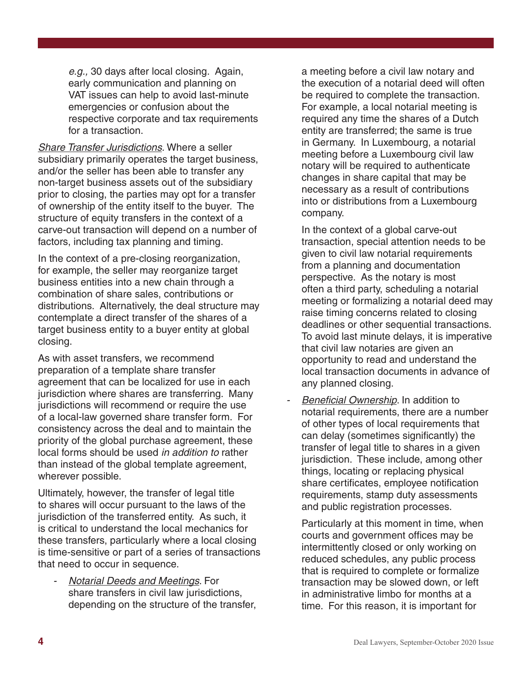*e.g.,* 30 days after local closing. Again, early communication and planning on VAT issues can help to avoid last-minute emergencies or confusion about the respective corporate and tax requirements for a transaction.

*Share Transfer Jurisdictions.* Where a seller subsidiary primarily operates the target business, and/or the seller has been able to transfer any non-target business assets out of the subsidiary prior to closing, the parties may opt for a transfer of ownership of the entity itself to the buyer. The structure of equity transfers in the context of a carve-out transaction will depend on a number of factors, including tax planning and timing.

In the context of a pre-closing reorganization, for example, the seller may reorganize target business entities into a new chain through a combination of share sales, contributions or distributions. Alternatively, the deal structure may contemplate a direct transfer of the shares of a target business entity to a buyer entity at global closing.

As with asset transfers, we recommend preparation of a template share transfer agreement that can be localized for use in each jurisdiction where shares are transferring. Many jurisdictions will recommend or require the use of a local-law governed share transfer form. For consistency across the deal and to maintain the priority of the global purchase agreement, these local forms should be used *in addition to* rather than instead of the global template agreement, wherever possible.

Ultimately, however, the transfer of legal title to shares will occur pursuant to the laws of the jurisdiction of the transferred entity. As such, it is critical to understand the local mechanics for these transfers, particularly where a local closing is time-sensitive or part of a series of transactions that need to occur in sequence.

*- Notarial Deeds and Meetings*. For share transfers in civil law jurisdictions, depending on the structure of the transfer, a meeting before a civil law notary and the execution of a notarial deed will often be required to complete the transaction. For example, a local notarial meeting is required any time the shares of a Dutch entity are transferred; the same is true in Germany. In Luxembourg, a notarial meeting before a Luxembourg civil law notary will be required to authenticate changes in share capital that may be necessary as a result of contributions into or distributions from a Luxembourg company.

In the context of a global carve-out transaction, special attention needs to be given to civil law notarial requirements from a planning and documentation perspective. As the notary is most often a third party, scheduling a notarial meeting or formalizing a notarial deed may raise timing concerns related to closing deadlines or other sequential transactions. To avoid last minute delays, it is imperative that civil law notaries are given an opportunity to read and understand the local transaction documents in advance of any planned closing.

*Beneficial Ownership*. In addition to notarial requirements, there are a number of other types of local requirements that can delay (sometimes significantly) the transfer of legal title to shares in a given jurisdiction. These include, among other things, locating or replacing physical share certificates, employee notification requirements, stamp duty assessments and public registration processes.

Particularly at this moment in time, when courts and government offices may be intermittently closed or only working on reduced schedules, any public process that is required to complete or formalize transaction may be slowed down, or left in administrative limbo for months at a time. For this reason, it is important for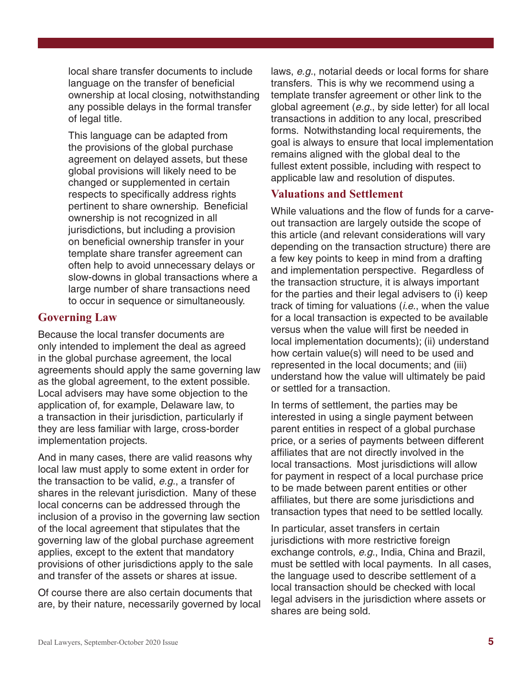local share transfer documents to include language on the transfer of beneficial ownership at local closing, notwithstanding any possible delays in the formal transfer of legal title.

This language can be adapted from the provisions of the global purchase agreement on delayed assets, but these global provisions will likely need to be changed or supplemented in certain respects to specifically address rights pertinent to share ownership. Beneficial ownership is not recognized in all jurisdictions, but including a provision on beneficial ownership transfer in your template share transfer agreement can often help to avoid unnecessary delays or slow-downs in global transactions where a large number of share transactions need to occur in sequence or simultaneously.

## **Governing Law**

Because the local transfer documents are only intended to implement the deal as agreed in the global purchase agreement, the local agreements should apply the same governing law as the global agreement, to the extent possible. Local advisers may have some objection to the application of, for example, Delaware law, to a transaction in their jurisdiction, particularly if they are less familiar with large, cross-border implementation projects.

And in many cases, there are valid reasons why local law must apply to some extent in order for the transaction to be valid, *e.g.*, a transfer of shares in the relevant jurisdiction. Many of these local concerns can be addressed through the inclusion of a proviso in the governing law section of the local agreement that stipulates that the governing law of the global purchase agreement applies, except to the extent that mandatory provisions of other jurisdictions apply to the sale and transfer of the assets or shares at issue.

Of course there are also certain documents that are, by their nature, necessarily governed by local laws, *e.g.*, notarial deeds or local forms for share transfers. This is why we recommend using a template transfer agreement or other link to the global agreement (*e.g.*, by side letter) for all local transactions in addition to any local, prescribed forms. Notwithstanding local requirements, the goal is always to ensure that local implementation remains aligned with the global deal to the fullest extent possible, including with respect to applicable law and resolution of disputes.

# **Valuations and Settlement**

While valuations and the flow of funds for a carveout transaction are largely outside the scope of this article (and relevant considerations will vary depending on the transaction structure) there are a few key points to keep in mind from a drafting and implementation perspective. Regardless of the transaction structure, it is always important for the parties and their legal advisers to (i) keep track of timing for valuations (*i.e.*, when the value for a local transaction is expected to be available versus when the value will first be needed in local implementation documents); (ii) understand how certain value(s) will need to be used and represented in the local documents; and (iii) understand how the value will ultimately be paid or settled for a transaction.

In terms of settlement, the parties may be interested in using a single payment between parent entities in respect of a global purchase price, or a series of payments between different affiliates that are not directly involved in the local transactions. Most jurisdictions will allow for payment in respect of a local purchase price to be made between parent entities or other affiliates, but there are some jurisdictions and transaction types that need to be settled locally.

In particular, asset transfers in certain jurisdictions with more restrictive foreign exchange controls, *e.g.*, India, China and Brazil, must be settled with local payments. In all cases, the language used to describe settlement of a local transaction should be checked with local legal advisers in the jurisdiction where assets or shares are being sold.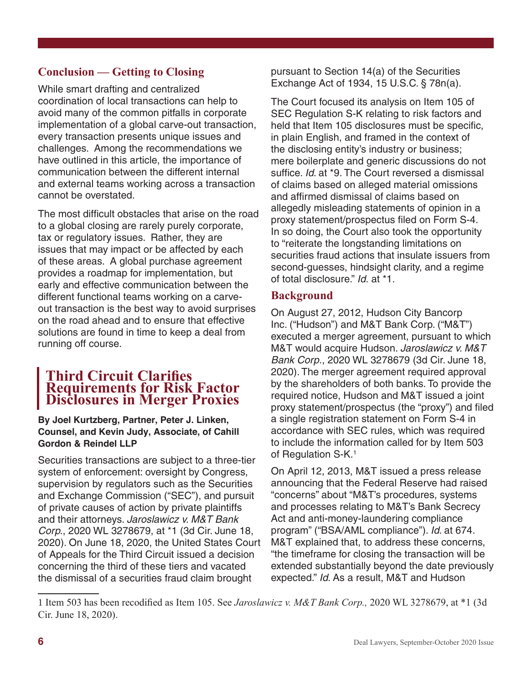# **Conclusion — Getting to Closing**

While smart drafting and centralized coordination of local transactions can help to avoid many of the common pitfalls in corporate implementation of a global carve-out transaction, every transaction presents unique issues and challenges. Among the recommendations we have outlined in this article, the importance of communication between the different internal and external teams working across a transaction cannot be overstated.

The most difficult obstacles that arise on the road to a global closing are rarely purely corporate, tax or regulatory issues. Rather, they are issues that may impact or be affected by each of these areas. A global purchase agreement provides a roadmap for implementation, but early and effective communication between the different functional teams working on a carveout transaction is the best way to avoid surprises on the road ahead and to ensure that effective solutions are found in time to keep a deal from running off course.

# **Third Circuit Clarifies Requirements for Risk Factor Disclosures in Merger Proxies**

### **By Joel Kurtzberg, Partner, Peter J. Linken, Counsel, and Kevin Judy, Associate, of Cahill Gordon & Reindel LLP**

Securities transactions are subject to a three-tier system of enforcement: oversight by Congress, supervision by regulators such as the Securities and Exchange Commission ("SEC"), and pursuit of private causes of action by private plaintiffs and their attorneys. *Jaroslawicz v. M&T Bank Corp.*, 2020 WL 3278679, at \*1 (3d Cir. June 18, 2020). On June 18, 2020, the United States Court of Appeals for the Third Circuit issued a decision concerning the third of these tiers and vacated the dismissal of a securities fraud claim brought

pursuant to Section 14(a) of the Securities Exchange Act of 1934, 15 U.S.C. § 78n(a).

The Court focused its analysis on Item 105 of SEC Regulation S-K relating to risk factors and held that Item 105 disclosures must be specific, in plain English, and framed in the context of the disclosing entity's industry or business; mere boilerplate and generic discussions do not suffice. *Id*. at \*9. The Court reversed a dismissal of claims based on alleged material omissions and affirmed dismissal of claims based on allegedly misleading statements of opinion in a proxy statement/prospectus filed on Form S-4. In so doing, the Court also took the opportunity to "reiterate the longstanding limitations on securities fraud actions that insulate issuers from second-guesses, hindsight clarity, and a regime of total disclosure." *Id.* at \*1.

# **Background**

On August 27, 2012, Hudson City Bancorp Inc. ("Hudson") and M&T Bank Corp. ("M&T") executed a merger agreement, pursuant to which M&T would acquire Hudson. *Jaroslawicz v. M&T Bank Corp*., 2020 WL 3278679 (3d Cir. June 18, 2020). The merger agreement required approval by the shareholders of both banks. To provide the required notice, Hudson and M&T issued a joint proxy statement/prospectus (the "proxy") and filed a single registration statement on Form S-4 in accordance with SEC rules, which was required to include the information called for by Item 503 of Regulation S-K.<sup>1</sup>

On April 12, 2013, M&T issued a press release announcing that the Federal Reserve had raised "concerns" about "M&T's procedures, systems and processes relating to M&T's Bank Secrecy Act and anti-money-laundering compliance program" ("BSA/AML compliance"). *Id*. at 674. M&T explained that, to address these concerns, "the timeframe for closing the transaction will be extended substantially beyond the date previously expected." *Id*. As a result, M&T and Hudson

<sup>1</sup> Item 503 has been recodified as Item 105. See *Jaroslawicz v. M&T Bank Corp.,* 2020 WL 3278679, at \*1 (3d Cir. June 18, 2020).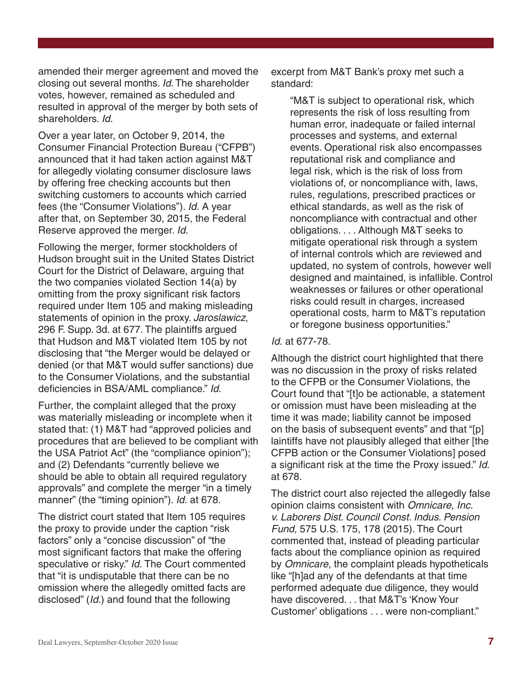amended their merger agreement and moved the closing out several months. *Id*. The shareholder votes, however, remained as scheduled and resulted in approval of the merger by both sets of shareholders. *Id.*

Over a year later, on October 9, 2014, the Consumer Financial Protection Bureau ("CFPB") announced that it had taken action against M&T for allegedly violating consumer disclosure laws by offering free checking accounts but then switching customers to accounts which carried fees (the "Consumer Violations"). *Id.* A year after that, on September 30, 2015, the Federal Reserve approved the merger. *Id.*

Following the merger, former stockholders of Hudson brought suit in the United States District Court for the District of Delaware, arguing that the two companies violated Section 14(a) by omitting from the proxy significant risk factors required under Item 105 and making misleading statements of opinion in the proxy. *Jaroslawicz*, 296 F. Supp. 3d. at 677. The plaintiffs argued that Hudson and M&T violated Item 105 by not disclosing that "the Merger would be delayed or denied (or that M&T would suffer sanctions) due to the Consumer Violations, and the substantial deficiencies in BSA/AML compliance." *Id*.

Further, the complaint alleged that the proxy was materially misleading or incomplete when it stated that: (1) M&T had "approved policies and procedures that are believed to be compliant with the USA Patriot Act" (the "compliance opinion"); and (2) Defendants "currently believe we should be able to obtain all required regulatory approvals" and complete the merger "in a timely manner" (the "timing opinion"). *Id.* at 678.

The district court stated that Item 105 requires the proxy to provide under the caption "risk factors" only a "concise discussion" of "the most significant factors that make the offering speculative or risky." *Id.* The Court commented that "it is undisputable that there can be no omission where the allegedly omitted facts are disclosed" (*Id.*) and found that the following

excerpt from M&T Bank's proxy met such a standard:

"M&T is subject to operational risk, which represents the risk of loss resulting from human error, inadequate or failed internal processes and systems, and external events. Operational risk also encompasses reputational risk and compliance and legal risk, which is the risk of loss from violations of, or noncompliance with, laws, rules, regulations, prescribed practices or ethical standards, as well as the risk of noncompliance with contractual and other obligations. . . . Although M&T seeks to mitigate operational risk through a system of internal controls which are reviewed and updated, no system of controls, however well designed and maintained, is infallible. Control weaknesses or failures or other operational risks could result in charges, increased operational costs, harm to M&T's reputation or foregone business opportunities."

#### *Id.* at 677-78.

Although the district court highlighted that there was no discussion in the proxy of risks related to the CFPB or the Consumer Violations, the Court found that "[t]o be actionable, a statement or omission must have been misleading at the time it was made; liability cannot be imposed on the basis of subsequent events" and that "[p] laintiffs have not plausibly alleged that either [the CFPB action or the Consumer Violations] posed a significant risk at the time the Proxy issued." *Id*. at 678.

The district court also rejected the allegedly false opinion claims consistent with *Omnicare, Inc. v. Laborers Dist. Council Const. Indus. Pension Fund,* 575 U.S. 175, 178 (2015). The Court commented that, instead of pleading particular facts about the compliance opinion as required by *Omnicare*, the complaint pleads hypotheticals like "[h]ad any of the defendants at that time performed adequate due diligence, they would have discovered. . . that M&T's 'Know Your Customer' obligations . . . were non-compliant."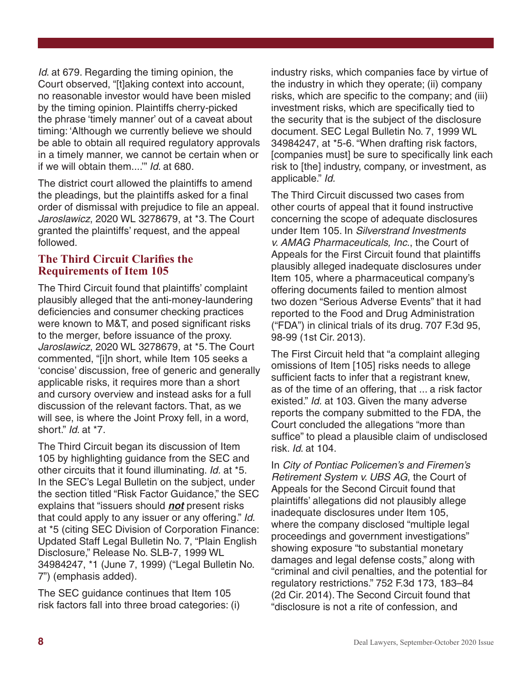*Id*. at 679. Regarding the timing opinion, the Court observed, "[t]aking context into account, no reasonable investor would have been misled by the timing opinion. Plaintiffs cherry-picked the phrase 'timely manner' out of a caveat about timing: 'Although we currently believe we should be able to obtain all required regulatory approvals in a timely manner, we cannot be certain when or if we will obtain them....'" *Id*. at 680.

The district court allowed the plaintiffs to amend the pleadings, but the plaintiffs asked for a final order of dismissal with prejudice to file an appeal. *Jaroslawicz*, 2020 WL 3278679, at \*3. The Court granted the plaintiffs' request, and the appeal followed.

### **The Third Circuit Clarifies the Requirements of Item 105**

The Third Circuit found that plaintiffs' complaint plausibly alleged that the anti-money-laundering deficiencies and consumer checking practices were known to M&T, and posed significant risks to the merger, before issuance of the proxy. *Jaroslawicz*, 2020 WL 3278679, at \*5. The Court commented, "[i]n short, while Item 105 seeks a 'concise' discussion, free of generic and generally applicable risks, it requires more than a short and cursory overview and instead asks for a full discussion of the relevant factors. That, as we will see, is where the Joint Proxy fell, in a word, short." *Id*. at \*7.

The Third Circuit began its discussion of Item 105 by highlighting guidance from the SEC and other circuits that it found illuminating. *Id.* at \*5. In the SEC's Legal Bulletin on the subject, under the section titled "Risk Factor Guidance," the SEC explains that "issuers should *not* present risks that could apply to any issuer or any offering." *Id*. at \*5 (citing SEC Division of Corporation Finance: Updated Staff Legal Bulletin No. 7, "Plain English Disclosure," Release No. SLB-7, 1999 WL 34984247, \*1 (June 7, 1999) ("Legal Bulletin No. 7") (emphasis added).

The SEC guidance continues that Item 105 risk factors fall into three broad categories: (i) industry risks, which companies face by virtue of the industry in which they operate; (ii) company risks, which are specific to the company; and (iii) investment risks, which are specifically tied to the security that is the subject of the disclosure document. SEC Legal Bulletin No. 7, 1999 WL 34984247, at \*5-6. "When drafting risk factors, [companies must] be sure to specifically link each risk to [the] industry, company, or investment, as applicable." *Id.*

The Third Circuit discussed two cases from other courts of appeal that it found instructive concerning the scope of adequate disclosures under Item 105. In *Silverstrand Investments v. AMAG Pharmaceuticals, Inc.*, the Court of Appeals for the First Circuit found that plaintiffs plausibly alleged inadequate disclosures under Item 105, where a pharmaceutical company's offering documents failed to mention almost two dozen "Serious Adverse Events" that it had reported to the Food and Drug Administration ("FDA") in clinical trials of its drug. 707 F.3d 95, 98-99 (1st Cir. 2013).

The First Circuit held that "a complaint alleging omissions of Item [105] risks needs to allege sufficient facts to infer that a registrant knew, as of the time of an offering, that ... a risk factor existed." *Id.* at 103. Given the many adverse reports the company submitted to the FDA, the Court concluded the allegations "more than suffice" to plead a plausible claim of undisclosed risk. *Id*. at 104.

In *City of Pontiac Policemen's and Firemen's Retirement System v. UBS AG*, the Court of Appeals for the Second Circuit found that plaintiffs' allegations did not plausibly allege inadequate disclosures under Item 105, where the company disclosed "multiple legal proceedings and government investigations" showing exposure "to substantial monetary damages and legal defense costs," along with "criminal and civil penalties, and the potential for regulatory restrictions." 752 F.3d 173, 183–84 (2d Cir. 2014). The Second Circuit found that "disclosure is not a rite of confession, and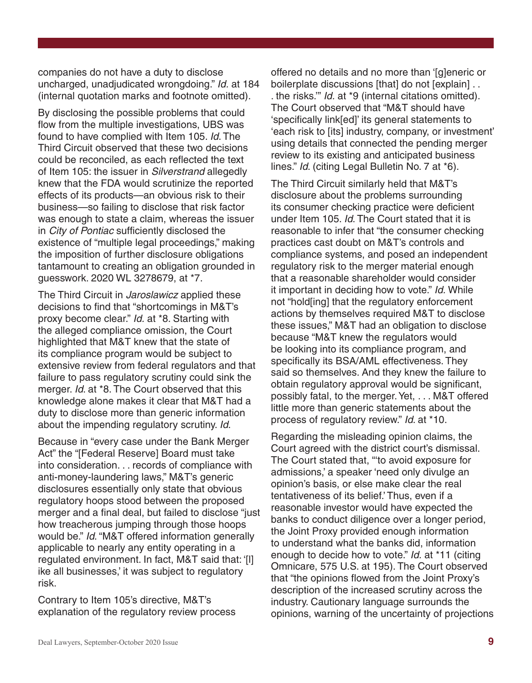companies do not have a duty to disclose uncharged, unadjudicated wrongdoing." *Id.* at 184 (internal quotation marks and footnote omitted).

By disclosing the possible problems that could flow from the multiple investigations, UBS was found to have complied with Item 105. *Id*. The Third Circuit observed that these two decisions could be reconciled, as each reflected the text of Item 105: the issuer in *Silverstrand* allegedly knew that the FDA would scrutinize the reported effects of its products—an obvious risk to their business—so failing to disclose that risk factor was enough to state a claim, whereas the issuer in *City of Pontiac* sufficiently disclosed the existence of "multiple legal proceedings," making the imposition of further disclosure obligations tantamount to creating an obligation grounded in guesswork. 2020 WL 3278679, at \*7.

The Third Circuit in *Jaroslawicz* applied these decisions to find that "shortcomings in M&T's proxy become clear." *Id.* at \*8. Starting with the alleged compliance omission, the Court highlighted that M&T knew that the state of its compliance program would be subject to extensive review from federal regulators and that failure to pass regulatory scrutiny could sink the merger. *Id*. at \*8. The Court observed that this knowledge alone makes it clear that M&T had a duty to disclose more than generic information about the impending regulatory scrutiny. *Id*.

Because in "every case under the Bank Merger Act" the "[Federal Reserve] Board must take into consideration. . . records of compliance with anti-money-laundering laws," M&T's generic disclosures essentially only state that obvious regulatory hoops stood between the proposed merger and a final deal, but failed to disclose "just how treacherous jumping through those hoops would be." *Id*. "M&T offered information generally applicable to nearly any entity operating in a regulated environment. In fact, M&T said that: '[l] ike all businesses,' it was subject to regulatory risk.

Contrary to Item 105's directive, M&T's explanation of the regulatory review process offered no details and no more than '[g]eneric or boilerplate discussions [that] do not [explain] . . . the risks.'" *Id.* at \*9 (internal citations omitted). The Court observed that "M&T should have 'specifically link[ed]' its general statements to 'each risk to [its] industry, company, or investment' using details that connected the pending merger review to its existing and anticipated business lines." *Id*. (citing Legal Bulletin No. 7 at \*6).

The Third Circuit similarly held that M&T's disclosure about the problems surrounding its consumer checking practice were deficient under Item 105. *Id*. The Court stated that it is reasonable to infer that "the consumer checking practices cast doubt on M&T's controls and compliance systems, and posed an independent regulatory risk to the merger material enough that a reasonable shareholder would consider it important in deciding how to vote." *Id.* While not "hold[ing] that the regulatory enforcement actions by themselves required M&T to disclose these issues," M&T had an obligation to disclose because "M&T knew the regulators would be looking into its compliance program, and specifically its BSA/AML effectiveness. They said so themselves. And they knew the failure to obtain regulatory approval would be significant, possibly fatal, to the merger. Yet, . . . M&T offered little more than generic statements about the process of regulatory review." *Id*. at \*10.

Regarding the misleading opinion claims, the Court agreed with the district court's dismissal. The Court stated that, "'to avoid exposure for admissions,' a speaker 'need only divulge an opinion's basis, or else make clear the real tentativeness of its belief.' Thus, even if a reasonable investor would have expected the banks to conduct diligence over a longer period, the Joint Proxy provided enough information to understand what the banks did, information enough to decide how to vote." *Id.* at \*11 (citing Omnicare, 575 U.S. at 195). The Court observed that "the opinions flowed from the Joint Proxy's description of the increased scrutiny across the industry. Cautionary language surrounds the opinions, warning of the uncertainty of projections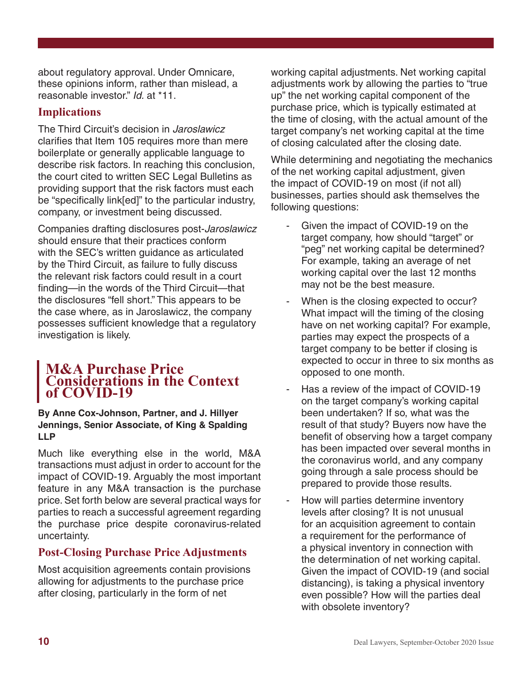about regulatory approval. Under Omnicare, these opinions inform, rather than mislead, a reasonable investor." *Id.* at \*11.

# **Implications**

The Third Circuit's decision in *Jaroslawicz* clarifies that Item 105 requires more than mere boilerplate or generally applicable language to describe risk factors. In reaching this conclusion, the court cited to written SEC Legal Bulletins as providing support that the risk factors must each be "specifically link[ed]" to the particular industry, company, or investment being discussed.

Companies drafting disclosures post-*Jaroslawicz* should ensure that their practices conform with the SEC's written guidance as articulated by the Third Circuit, as failure to fully discuss the relevant risk factors could result in a court finding—in the words of the Third Circuit—that the disclosures "fell short." This appears to be the case where, as in Jaroslawicz, the company possesses sufficient knowledge that a regulatory investigation is likely.

# **M&A Purchase Price Considerations in the Context of COVID-19**

### **By Anne Cox-Johnson, Partner, and J. Hillyer Jennings, Senior Associate, of King & Spalding LLP**

Much like everything else in the world, M&A transactions must adjust in order to account for the impact of COVID-19. Arguably the most important feature in any M&A transaction is the purchase price. Set forth below are several practical ways for parties to reach a successful agreement regarding the purchase price despite coronavirus-related uncertainty.

# **Post-Closing Purchase Price Adjustments**

Most acquisition agreements contain provisions allowing for adjustments to the purchase price after closing, particularly in the form of net

working capital adjustments. Net working capital adjustments work by allowing the parties to "true up" the net working capital component of the purchase price, which is typically estimated at the time of closing, with the actual amount of the target company's net working capital at the time of closing calculated after the closing date.

While determining and negotiating the mechanics of the net working capital adjustment, given the impact of COVID-19 on most (if not all) businesses, parties should ask themselves the following questions:

- Given the impact of COVID-19 on the target company, how should "target" or "peg" net working capital be determined? For example, taking an average of net working capital over the last 12 months may not be the best measure.
- When is the closing expected to occur? What impact will the timing of the closing have on net working capital? For example, parties may expect the prospects of a target company to be better if closing is expected to occur in three to six months as opposed to one month.
- Has a review of the impact of COVID-19 on the target company's working capital been undertaken? If so, what was the result of that study? Buyers now have the benefit of observing how a target company has been impacted over several months in the coronavirus world, and any company going through a sale process should be prepared to provide those results.
- How will parties determine inventory levels after closing? It is not unusual for an acquisition agreement to contain a requirement for the performance of a physical inventory in connection with the determination of net working capital. Given the impact of COVID-19 (and social distancing), is taking a physical inventory even possible? How will the parties deal with obsolete inventory?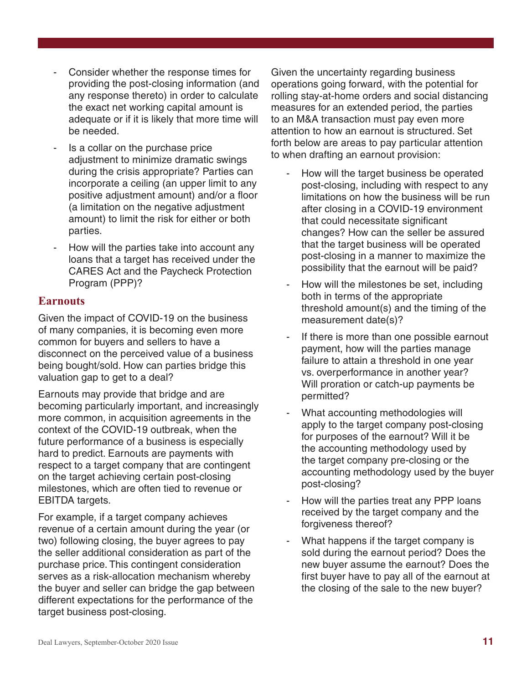- Consider whether the response times for providing the post-closing information (and any response thereto) in order to calculate the exact net working capital amount is adequate or if it is likely that more time will be needed.
- Is a collar on the purchase price adjustment to minimize dramatic swings during the crisis appropriate? Parties can incorporate a ceiling (an upper limit to any positive adjustment amount) and/or a floor (a limitation on the negative adjustment amount) to limit the risk for either or both parties.
- How will the parties take into account any loans that a target has received under the CARES Act and the Paycheck Protection Program (PPP)?

# **Earnouts**

Given the impact of COVID-19 on the business of many companies, it is becoming even more common for buyers and sellers to have a disconnect on the perceived value of a business being bought/sold. How can parties bridge this valuation gap to get to a deal?

Earnouts may provide that bridge and are becoming particularly important, and increasingly more common, in acquisition agreements in the context of the COVID-19 outbreak, when the future performance of a business is especially hard to predict. Earnouts are payments with respect to a target company that are contingent on the target achieving certain post-closing milestones, which are often tied to revenue or EBITDA targets.

For example, if a target company achieves revenue of a certain amount during the year (or two) following closing, the buyer agrees to pay the seller additional consideration as part of the purchase price. This contingent consideration serves as a risk-allocation mechanism whereby the buyer and seller can bridge the gap between different expectations for the performance of the target business post-closing.

Given the uncertainty regarding business operations going forward, with the potential for rolling stay-at-home orders and social distancing measures for an extended period, the parties to an M&A transaction must pay even more attention to how an earnout is structured. Set forth below are areas to pay particular attention to when drafting an earnout provision:

- How will the target business be operated post-closing, including with respect to any limitations on how the business will be run after closing in a COVID-19 environment that could necessitate significant changes? How can the seller be assured that the target business will be operated post-closing in a manner to maximize the possibility that the earnout will be paid?
- How will the milestones be set, including both in terms of the appropriate threshold amount(s) and the timing of the measurement date(s)?
- If there is more than one possible earnout payment, how will the parties manage failure to attain a threshold in one year vs. overperformance in another year? Will proration or catch-up payments be permitted?
- What accounting methodologies will apply to the target company post-closing for purposes of the earnout? Will it be the accounting methodology used by the target company pre-closing or the accounting methodology used by the buyer post-closing?
- How will the parties treat any PPP loans received by the target company and the forgiveness thereof?
- What happens if the target company is sold during the earnout period? Does the new buyer assume the earnout? Does the first buyer have to pay all of the earnout at the closing of the sale to the new buyer?